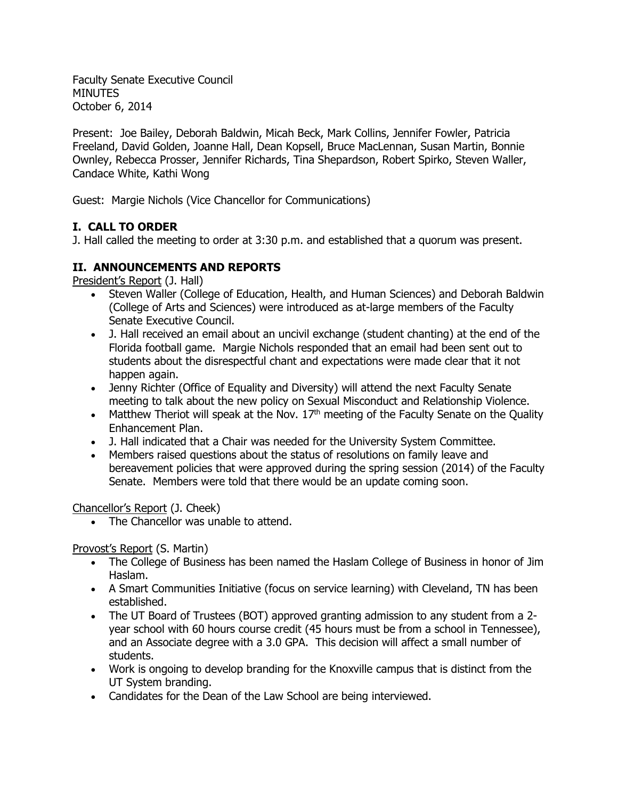Faculty Senate Executive Council MINUTES October 6, 2014

Present: Joe Bailey, Deborah Baldwin, Micah Beck, Mark Collins, Jennifer Fowler, Patricia Freeland, David Golden, Joanne Hall, Dean Kopsell, Bruce MacLennan, Susan Martin, Bonnie Ownley, Rebecca Prosser, Jennifer Richards, Tina Shepardson, Robert Spirko, Steven Waller, Candace White, Kathi Wong

Guest: Margie Nichols (Vice Chancellor for Communications)

# **I. CALL TO ORDER**

J. Hall called the meeting to order at 3:30 p.m. and established that a quorum was present.

# **II. ANNOUNCEMENTS AND REPORTS**

President's Report (J. Hall)

- Steven Waller (College of Education, Health, and Human Sciences) and Deborah Baldwin (College of Arts and Sciences) were introduced as at-large members of the Faculty Senate Executive Council.
- J. Hall received an email about an uncivil exchange (student chanting) at the end of the Florida football game. Margie Nichols responded that an email had been sent out to students about the disrespectful chant and expectations were made clear that it not happen again.
- Jenny Richter (Office of Equality and Diversity) will attend the next Faculty Senate meeting to talk about the new policy on Sexual Misconduct and Relationship Violence.
- Matthew Theriot will speak at the Nov.  $17<sup>th</sup>$  meeting of the Faculty Senate on the Quality Enhancement Plan.
- J. Hall indicated that a Chair was needed for the University System Committee.
- Members raised questions about the status of resolutions on family leave and bereavement policies that were approved during the spring session (2014) of the Faculty Senate. Members were told that there would be an update coming soon.

Chancellor's Report (J. Cheek)

• The Chancellor was unable to attend.

Provost's Report (S. Martin)

- The College of Business has been named the Haslam College of Business in honor of Jim Haslam.
- A Smart Communities Initiative (focus on service learning) with Cleveland, TN has been established.
- The UT Board of Trustees (BOT) approved granting admission to any student from a 2 year school with 60 hours course credit (45 hours must be from a school in Tennessee), and an Associate degree with a 3.0 GPA. This decision will affect a small number of students.
- Work is ongoing to develop branding for the Knoxville campus that is distinct from the UT System branding.
- Candidates for the Dean of the Law School are being interviewed.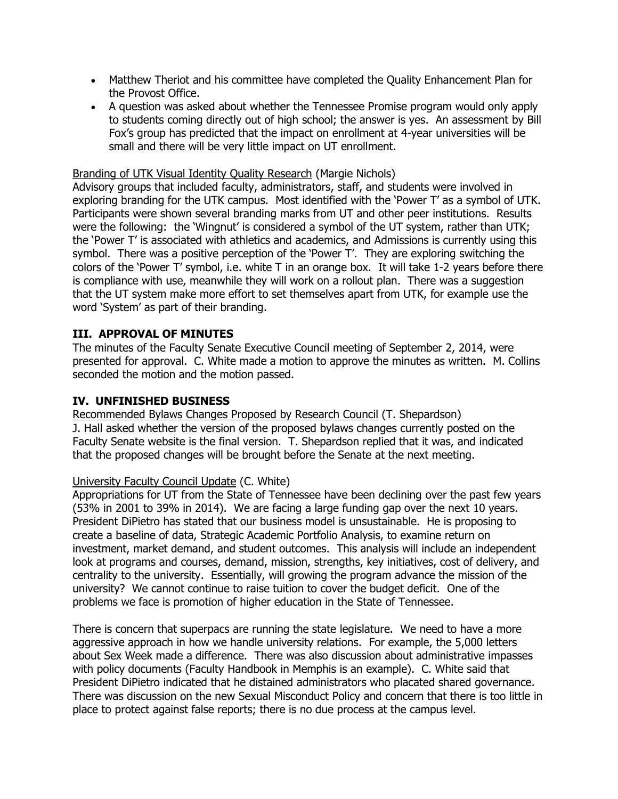- Matthew Theriot and his committee have completed the Quality Enhancement Plan for the Provost Office.
- A question was asked about whether the Tennessee Promise program would only apply to students coming directly out of high school; the answer is yes. An assessment by Bill Fox's group has predicted that the impact on enrollment at 4-year universities will be small and there will be very little impact on UT enrollment.

### Branding of UTK Visual Identity Quality Research (Margie Nichols)

Advisory groups that included faculty, administrators, staff, and students were involved in exploring branding for the UTK campus. Most identified with the 'Power T' as a symbol of UTK. Participants were shown several branding marks from UT and other peer institutions. Results were the following: the 'Wingnut' is considered a symbol of the UT system, rather than UTK; the 'Power T' is associated with athletics and academics, and Admissions is currently using this symbol. There was a positive perception of the 'Power T'. They are exploring switching the colors of the 'Power T' symbol, i.e. white T in an orange box. It will take 1-2 years before there is compliance with use, meanwhile they will work on a rollout plan. There was a suggestion that the UT system make more effort to set themselves apart from UTK, for example use the word 'System' as part of their branding.

# **III. APPROVAL OF MINUTES**

The minutes of the Faculty Senate Executive Council meeting of September 2, 2014, were presented for approval. C. White made a motion to approve the minutes as written. M. Collins seconded the motion and the motion passed.

# **IV. UNFINISHED BUSINESS**

Recommended Bylaws Changes Proposed by Research Council (T. Shepardson) J. Hall asked whether the version of the proposed bylaws changes currently posted on the Faculty Senate website is the final version. T. Shepardson replied that it was, and indicated that the proposed changes will be brought before the Senate at the next meeting.

# University Faculty Council Update (C. White)

Appropriations for UT from the State of Tennessee have been declining over the past few years (53% in 2001 to 39% in 2014). We are facing a large funding gap over the next 10 years. President DiPietro has stated that our business model is unsustainable. He is proposing to create a baseline of data, Strategic Academic Portfolio Analysis, to examine return on investment, market demand, and student outcomes. This analysis will include an independent look at programs and courses, demand, mission, strengths, key initiatives, cost of delivery, and centrality to the university. Essentially, will growing the program advance the mission of the university? We cannot continue to raise tuition to cover the budget deficit. One of the problems we face is promotion of higher education in the State of Tennessee.

There is concern that superpacs are running the state legislature. We need to have a more aggressive approach in how we handle university relations. For example, the 5,000 letters about Sex Week made a difference. There was also discussion about administrative impasses with policy documents (Faculty Handbook in Memphis is an example). C. White said that President DiPietro indicated that he distained administrators who placated shared governance. There was discussion on the new Sexual Misconduct Policy and concern that there is too little in place to protect against false reports; there is no due process at the campus level.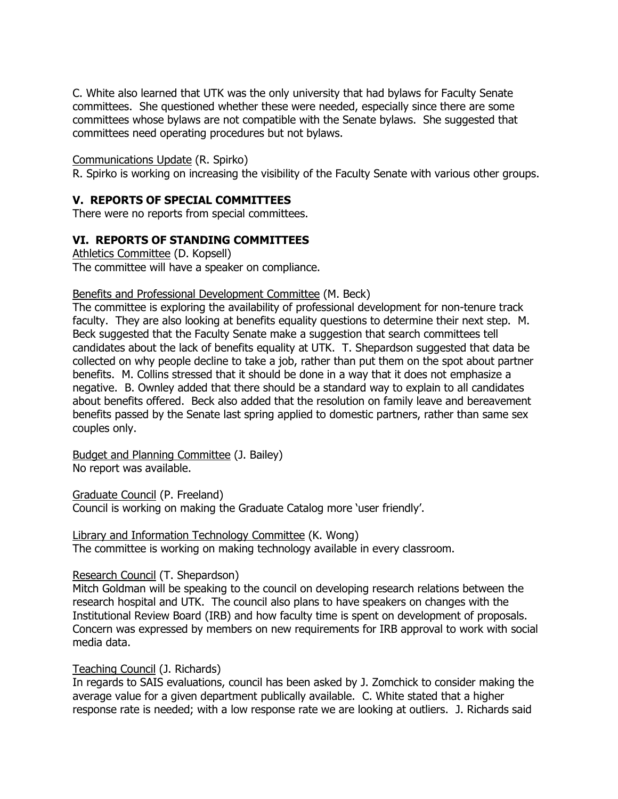C. White also learned that UTK was the only university that had bylaws for Faculty Senate committees. She questioned whether these were needed, especially since there are some committees whose bylaws are not compatible with the Senate bylaws. She suggested that committees need operating procedures but not bylaws.

#### Communications Update (R. Spirko)

R. Spirko is working on increasing the visibility of the Faculty Senate with various other groups.

#### **V. REPORTS OF SPECIAL COMMITTEES**

There were no reports from special committees.

### **VI. REPORTS OF STANDING COMMITTEES**

Athletics Committee (D. Kopsell) The committee will have a speaker on compliance.

### Benefits and Professional Development Committee (M. Beck)

The committee is exploring the availability of professional development for non-tenure track faculty. They are also looking at benefits equality questions to determine their next step. M. Beck suggested that the Faculty Senate make a suggestion that search committees tell candidates about the lack of benefits equality at UTK. T. Shepardson suggested that data be collected on why people decline to take a job, rather than put them on the spot about partner benefits. M. Collins stressed that it should be done in a way that it does not emphasize a negative. B. Ownley added that there should be a standard way to explain to all candidates about benefits offered. Beck also added that the resolution on family leave and bereavement benefits passed by the Senate last spring applied to domestic partners, rather than same sex couples only.

Budget and Planning Committee (J. Bailey) No report was available.

Graduate Council (P. Freeland)

Council is working on making the Graduate Catalog more 'user friendly'.

Library and Information Technology Committee (K. Wong) The committee is working on making technology available in every classroom.

#### Research Council (T. Shepardson)

Mitch Goldman will be speaking to the council on developing research relations between the research hospital and UTK. The council also plans to have speakers on changes with the Institutional Review Board (IRB) and how faculty time is spent on development of proposals. Concern was expressed by members on new requirements for IRB approval to work with social media data.

#### Teaching Council (J. Richards)

In regards to SAIS evaluations, council has been asked by J. Zomchick to consider making the average value for a given department publically available. C. White stated that a higher response rate is needed; with a low response rate we are looking at outliers. J. Richards said